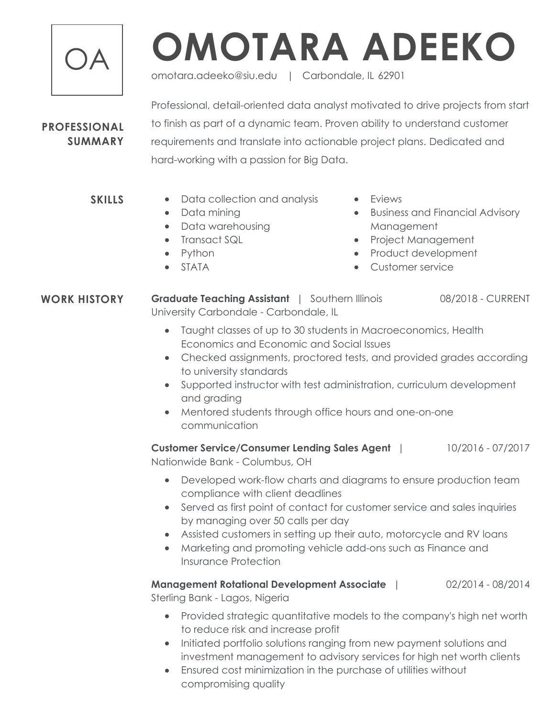

## OA **OMOTARA ADEEKO**

omotara.adeeko@siu.edu | Carbondale, IL 62901

## **PROFESSIONAL SUMMARY**

**SKILLS**

Professional, detail-oriented data analyst motivated to drive projects from start to finish as part of a dynamic team. Proven ability to understand customer requirements and translate into actionable project plans. Dedicated and hard-working with a passion for Big Data.

- Data collection and analysis
	- Data mining
	- Data warehousing
	- Transact SQL
	- Python
	- STATA
- Fviews
- Business and Financial Advisory Management
- Project Management
- Product development
- Customer service

**WORK HISTORY** Graduate Teaching Assistant | Southern Illinois 08/2018 - CURRENT University Carbondale - Carbondale, IL

- Taught classes of up to 30 students in Macroeconomics, Health Economics and Economic and Social Issues
- Checked assignments, proctored tests, and provided grades according to university standards
- Supported instructor with test administration, curriculum development and grading
- Mentored students through office hours and one-on-one communication

**Customer Service/Consumer Lending Sales Agent** | 10/2016 - 07/2017 Nationwide Bank - Columbus, OH

- Developed work-flow charts and diagrams to ensure production team compliance with client deadlines
- Served as first point of contact for customer service and sales inquiries by managing over 50 calls per day
- Assisted customers in setting up their auto, motorcycle and RV loans
- Marketing and promoting vehicle add-ons such as Finance and Insurance Protection

**Management Rotational Development Associate** | 02/2014 - 08/2014 Sterling Bank - Lagos, Nigeria

- Provided strategic quantitative models to the company's high net worth to reduce risk and increase profit
- Initiated portfolio solutions ranging from new payment solutions and investment management to advisory services for high net worth clients
- Ensured cost minimization in the purchase of utilities without compromising quality